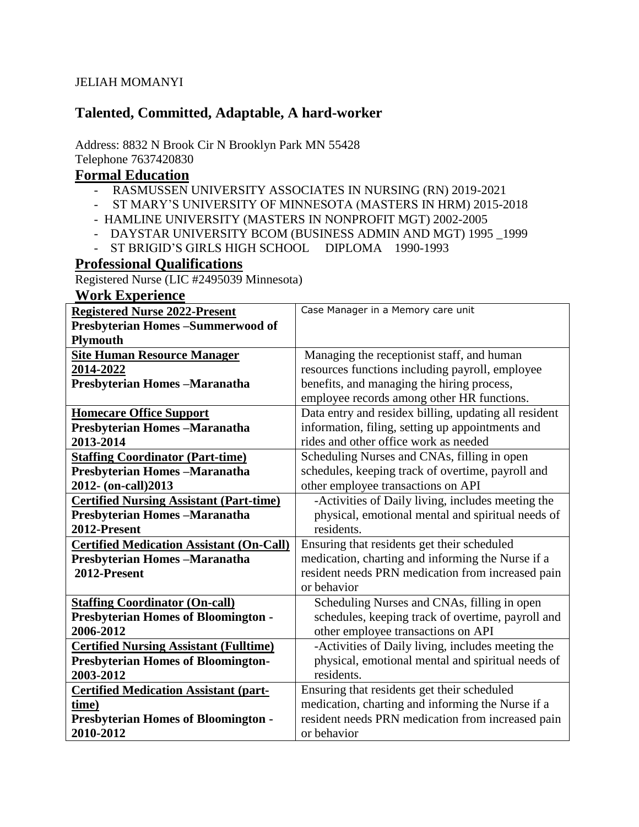#### JELIAH MOMANYI

## **Talented, Committed, Adaptable, A hard-worker**

#### Address: 8832 N Brook Cir N Brooklyn Park MN 55428 Telephone 7637420830

## **Formal Education**

- RASMUSSEN UNIVERSITY ASSOCIATES IN NURSING (RN) 2019-2021
- ST MARY'S UNIVERSITY OF MINNESOTA (MASTERS IN HRM) 2015-2018
- HAMLINE UNIVERSITY (MASTERS IN NONPROFIT MGT) 2002-2005
- DAYSTAR UNIVERSITY BCOM (BUSINESS ADMIN AND MGT) 1995 \_1999
- ST BRIGID'S GIRLS HIGH SCHOOL DIPLOMA 1990-1993

## **Professional Qualifications**

Registered Nurse (LIC #2495039 Minnesota)

#### **Work Experience**

| <b>Registered Nurse 2022-Present</b>            | Case Manager in a Memory care unit                    |
|-------------------------------------------------|-------------------------------------------------------|
| Presbyterian Homes-Summerwood of                |                                                       |
| <b>Plymouth</b>                                 |                                                       |
| <b>Site Human Resource Manager</b>              | Managing the receptionist staff, and human            |
| 2014-2022                                       | resources functions including payroll, employee       |
| Presbyterian Homes-Maranatha                    | benefits, and managing the hiring process,            |
|                                                 | employee records among other HR functions.            |
| <b>Homecare Office Support</b>                  | Data entry and residex billing, updating all resident |
| Presbyterian Homes-Maranatha                    | information, filing, setting up appointments and      |
| 2013-2014                                       | rides and other office work as needed                 |
| <b>Staffing Coordinator (Part-time)</b>         | Scheduling Nurses and CNAs, filling in open           |
| Presbyterian Homes-Maranatha                    | schedules, keeping track of overtime, payroll and     |
| 2012- (on-call) 2013                            | other employee transactions on API                    |
| <b>Certified Nursing Assistant (Part-time)</b>  | -Activities of Daily living, includes meeting the     |
| Presbyterian Homes-Maranatha                    | physical, emotional mental and spiritual needs of     |
| 2012-Present                                    | residents.                                            |
| <b>Certified Medication Assistant (On-Call)</b> | Ensuring that residents get their scheduled           |
| Presbyterian Homes-Maranatha                    | medication, charting and informing the Nurse if a     |
| 2012-Present                                    | resident needs PRN medication from increased pain     |
|                                                 | or behavior                                           |
| <b>Staffing Coordinator (On-call)</b>           | Scheduling Nurses and CNAs, filling in open           |
| <b>Presbyterian Homes of Bloomington -</b>      | schedules, keeping track of overtime, payroll and     |
| 2006-2012                                       | other employee transactions on API                    |
| <b>Certified Nursing Assistant (Fulltime)</b>   | -Activities of Daily living, includes meeting the     |
| <b>Presbyterian Homes of Bloomington-</b>       | physical, emotional mental and spiritual needs of     |
| 2003-2012                                       | residents.                                            |
| <b>Certified Medication Assistant (part-</b>    | Ensuring that residents get their scheduled           |
| time)                                           | medication, charting and informing the Nurse if a     |
| <b>Presbyterian Homes of Bloomington -</b>      | resident needs PRN medication from increased pain     |
| 2010-2012                                       | or behavior                                           |